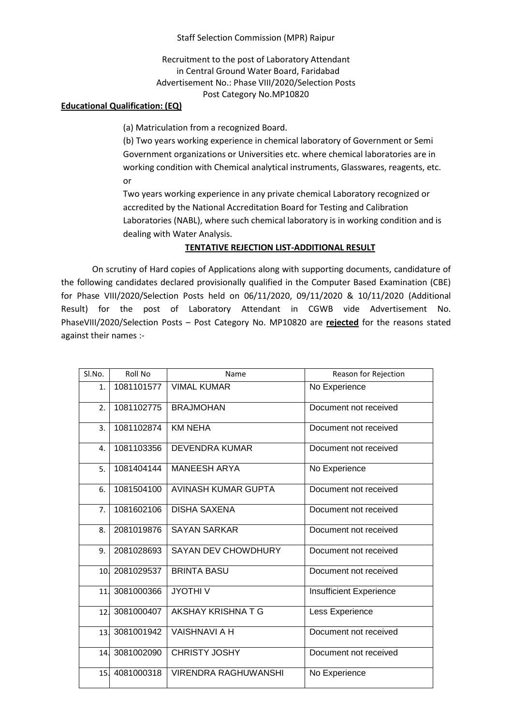Staff Selection Commission (MPR) Raipur

Recruitment to the post of Laboratory Attendant in Central Ground Water Board, Faridabad Advertisement No.: Phase VIII/2020/Selection Posts Post Category No.MP10820

## **Educational Qualification: (EQ)**

(a) Matriculation from a recognized Board.

(b) Two years working experience in chemical laboratory of Government or Semi Government organizations or Universities etc. where chemical laboratories are in working condition with Chemical analytical instruments, Glasswares, reagents, etc. or

Two years working experience in any private chemical Laboratory recognized or accredited by the National Accreditation Board for Testing and Calibration Laboratories (NABL), where such chemical laboratory is in working condition and is dealing with Water Analysis.

## **TENTATIVE REJECTION LIST-ADDITIONAL RESULT**

On scrutiny of Hard copies of Applications along with supporting documents, candidature of the following candidates declared provisionally qualified in the Computer Based Examination (CBE) for Phase VIII/2020/Selection Posts held on 06/11/2020, 09/11/2020 & 10/11/2020 (Additional Result) for the post of Laboratory Attendant in CGWB vide Advertisement No. PhaseVIII/2020/Selection Posts – Post Category No. MP10820 are **rejected** for the reasons stated against their names :-

| Sl.No.          | Roll No    | Name                        | Reason for Rejection    |
|-----------------|------------|-----------------------------|-------------------------|
| 1.              | 1081101577 | <b>VIMAL KUMAR</b>          | No Experience           |
| 2.              | 1081102775 | <b>BRAJMOHAN</b>            | Document not received   |
| 3.              | 1081102874 | <b>KM NEHA</b>              | Document not received   |
| 4.              | 1081103356 | <b>DEVENDRA KUMAR</b>       | Document not received   |
| 5.              | 1081404144 | <b>MANEESH ARYA</b>         | No Experience           |
| 6.              | 1081504100 | AVINASH KUMAR GUPTA         | Document not received   |
| 7.              | 1081602106 | <b>DISHA SAXENA</b>         | Document not received   |
| 8.              | 2081019876 | <b>SAYAN SARKAR</b>         | Document not received   |
| 9.              | 2081028693 | <b>SAYAN DEV CHOWDHURY</b>  | Document not received   |
| 10.             | 2081029537 | <b>BRINTA BASU</b>          | Document not received   |
| 11.             | 3081000366 | <b>JYOTHIV</b>              | Insufficient Experience |
| 12.             | 3081000407 | AKSHAY KRISHNATG            | Less Experience         |
| 13 <sub>1</sub> | 3081001942 | <b>VAISHNAVI A H</b>        | Document not received   |
| 14.             | 3081002090 | <b>CHRISTY JOSHY</b>        | Document not received   |
| 15 <sub>1</sub> | 4081000318 | <b>VIRENDRA RAGHUWANSHI</b> | No Experience           |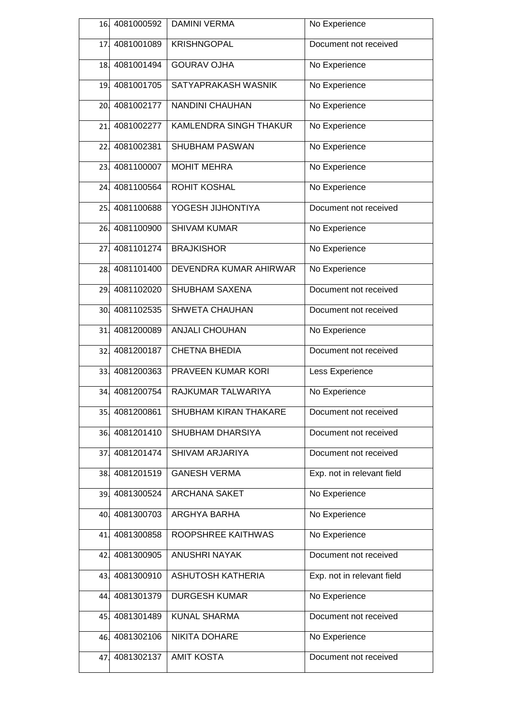|     | 16. 4081000592 | <b>DAMINI VERMA</b>      | No Experience              |
|-----|----------------|--------------------------|----------------------------|
| 17. | 4081001089     | <b>KRISHNGOPAL</b>       | Document not received      |
|     | 18.4081001494  | <b>GOURAV OJHA</b>       | No Experience              |
| 19. | 4081001705     | SATYAPRAKASH WASNIK      | No Experience              |
| 20. | 4081002177     | <b>NANDINI CHAUHAN</b>   | No Experience              |
| 21. | 4081002277     | KAMLENDRA SINGH THAKUR   | No Experience              |
| 22. | 4081002381     | <b>SHUBHAM PASWAN</b>    | No Experience              |
| 23. | 4081100007     | <b>MOHIT MEHRA</b>       | No Experience              |
| 24. | 4081100564     | ROHIT KOSHAL             | No Experience              |
| 25. | 4081100688     | YOGESH JIJHONTIYA        | Document not received      |
| 26. | 4081100900     | <b>SHIVAM KUMAR</b>      | No Experience              |
| 27. | 4081101274     | <b>BRAJKISHOR</b>        | No Experience              |
| 28. | 4081101400     | DEVENDRA KUMAR AHIRWAR   | No Experience              |
| 29. | 4081102020     | <b>SHUBHAM SAXENA</b>    | Document not received      |
| 30. | 4081102535     | <b>SHWETA CHAUHAN</b>    | Document not received      |
| 31. | 4081200089     | <b>ANJALI CHOUHAN</b>    | No Experience              |
| 32. | 4081200187     | <b>CHETNA BHEDIA</b>     | Document not received      |
| 33. | 4081200363     | PRAVEEN KUMAR KORI       | Less Experience            |
| 34. | 4081200754     | RAJKUMAR TALWARIYA       | No Experience              |
| 35. | 4081200861     | SHUBHAM KIRAN THAKARE    | Document not received      |
| 36. | 4081201410     | SHUBHAM DHARSIYA         | Document not received      |
| 37. | 4081201474     | SHIVAM ARJARIYA          | Document not received      |
| 38. | 4081201519     | <b>GANESH VERMA</b>      | Exp. not in relevant field |
| 39. | 4081300524     | ARCHANA SAKET            | No Experience              |
| 40. | 4081300703     | <b>ARGHYA BARHA</b>      | No Experience              |
| 41. | 4081300858     | ROOPSHREE KAITHWAS       | No Experience              |
| 42. | 4081300905     | <b>ANUSHRI NAYAK</b>     | Document not received      |
| 43. | 4081300910     | <b>ASHUTOSH KATHERIA</b> | Exp. not in relevant field |
| 44. | 4081301379     | <b>DURGESH KUMAR</b>     | No Experience              |
| 45. | 4081301489     | <b>KUNAL SHARMA</b>      | Document not received      |
| 46. | 4081302106     | NIKITA DOHARE            | No Experience              |
|     |                |                          |                            |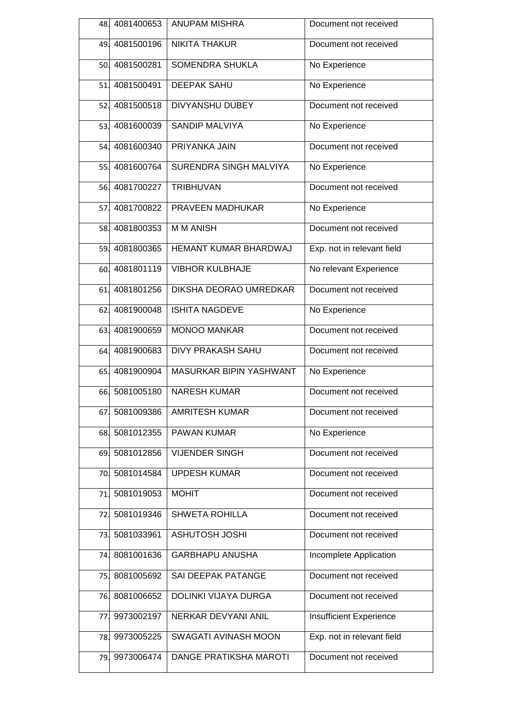| 48. | 4081400653     | <b>ANUPAM MISHRA</b>        | Document not received      |
|-----|----------------|-----------------------------|----------------------------|
|     | 49.4081500196  | <b>NIKITA THAKUR</b>        | Document not received      |
|     | 50. 4081500281 | SOMENDRA SHUKLA             | No Experience              |
| 51. | 4081500491     | <b>DEEPAK SAHU</b>          | No Experience              |
| 52. | 4081500518     | DIVYANSHU DUBEY             | Document not received      |
| 53. | 4081600039     | <b>SANDIP MALVIYA</b>       | No Experience              |
|     | 54.4081600340  | PRIYANKA JAIN               | Document not received      |
|     | 55. 4081600764 | SURENDRA SINGH MALVIYA      | No Experience              |
|     | 56. 4081700227 | TRIBHUVAN                   | Document not received      |
| 57. | 4081700822     | PRAVEEN MADHUKAR            | No Experience              |
| 58. | 4081800353     | <b>MMANISH</b>              | Document not received      |
| 59. | 4081800365     | HEMANT KUMAR BHARDWAJ       | Exp. not in relevant field |
| 60. | 4081801119     | <b>VIBHOR KULBHAJE</b>      | No relevant Experience     |
| 61. | 4081801256     | DIKSHA DEORAO UMREDKAR      | Document not received      |
| 62. | 4081900048     | <b>ISHITA NAGDEVE</b>       | No Experience              |
| 63. | 4081900659     | <b>MONOO MANKAR</b>         | Document not received      |
| 64. | 4081900683     | <b>DIVY PRAKASH SAHU</b>    | Document not received      |
| 65. | 4081900904     | MASURKAR BIPIN YASHWANT     | No Experience              |
| 66. | 5081005180     | <b>NARESH KUMAR</b>         | Document not received      |
| 67. | 5081009386     | <b>AMRITESH KUMAR</b>       | Document not received      |
| 68. | 5081012355     | PAWAN KUMAR                 | No Experience              |
| 69. | 5081012856     | <b>VIJENDER SINGH</b>       | Document not received      |
| 70. | 5081014584     | <b>UPDESH KUMAR</b>         | Document not received      |
| 71. | 5081019053     | <b>MOHIT</b>                | Document not received      |
| 72. | 5081019346     | <b>SHWETA ROHILLA</b>       | Document not received      |
| 73. | 5081033961     | <b>ASHUTOSH JOSHI</b>       | Document not received      |
| 74. | 8081001636     | <b>GARBHAPU ANUSHA</b>      | Incomplete Application     |
| 75. | 8081005692     | SAI DEEPAK PATANGE          | Document not received      |
| 76. | 8081006652     | <b>DOLINKI VIJAYA DURGA</b> | Document not received      |
| 77. | 9973002197     | NERKAR DEVYANI ANIL         | Insufficient Experience    |
| 78. | 9973005225     | SWAGATI AVINASH MOON        | Exp. not in relevant field |
| 79. | 9973006474     | DANGE PRATIKSHA MAROTI      | Document not received      |